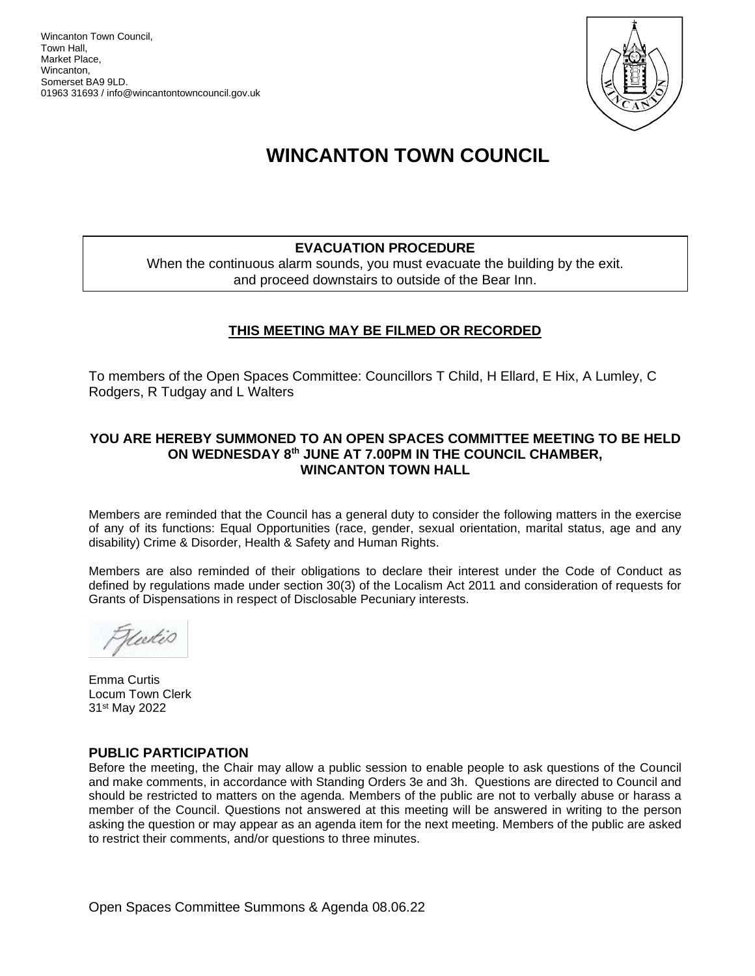Wincanton Town Council, Town Hall, Market Place, Wincanton, Somerset BA9 9LD. 01963 31693 / info@wincantontowncouncil.gov.uk



# **WINCANTON TOWN COUNCIL**

# **EVACUATION PROCEDURE**

When the continuous alarm sounds, you must evacuate the building by the exit. and proceed downstairs to outside of the Bear Inn.

# **THIS MEETING MAY BE FILMED OR RECORDED**

To members of the Open Spaces Committee: Councillors T Child, H Ellard, E Hix, A Lumley, C Rodgers, R Tudgay and L Walters

#### **YOU ARE HEREBY SUMMONED TO AN OPEN SPACES COMMITTEE MEETING TO BE HELD ON WEDNESDAY 8th JUNE AT 7.00PM IN THE COUNCIL CHAMBER, WINCANTON TOWN HALL**

Members are reminded that the Council has a general duty to consider the following matters in the exercise of any of its functions: Equal Opportunities (race, gender, sexual orientation, marital status, age and any disability) Crime & Disorder, Health & Safety and Human Rights.

Members are also reminded of their obligations to declare their interest under the Code of Conduct as defined by regulations made under section 30(3) of the Localism Act 2011 and consideration of requests for Grants of Dispensations in respect of Disclosable Pecuniary interests.

teetes

Emma Curtis Locum Town Clerk 31st May 2022

#### **PUBLIC PARTICIPATION**

Before the meeting, the Chair may allow a public session to enable people to ask questions of the Council and make comments, in accordance with Standing Orders 3e and 3h. Questions are directed to Council and should be restricted to matters on the agenda. Members of the public are not to verbally abuse or harass a member of the Council. Questions not answered at this meeting will be answered in writing to the person asking the question or may appear as an agenda item for the next meeting. Members of the public are asked to restrict their comments, and/or questions to three minutes.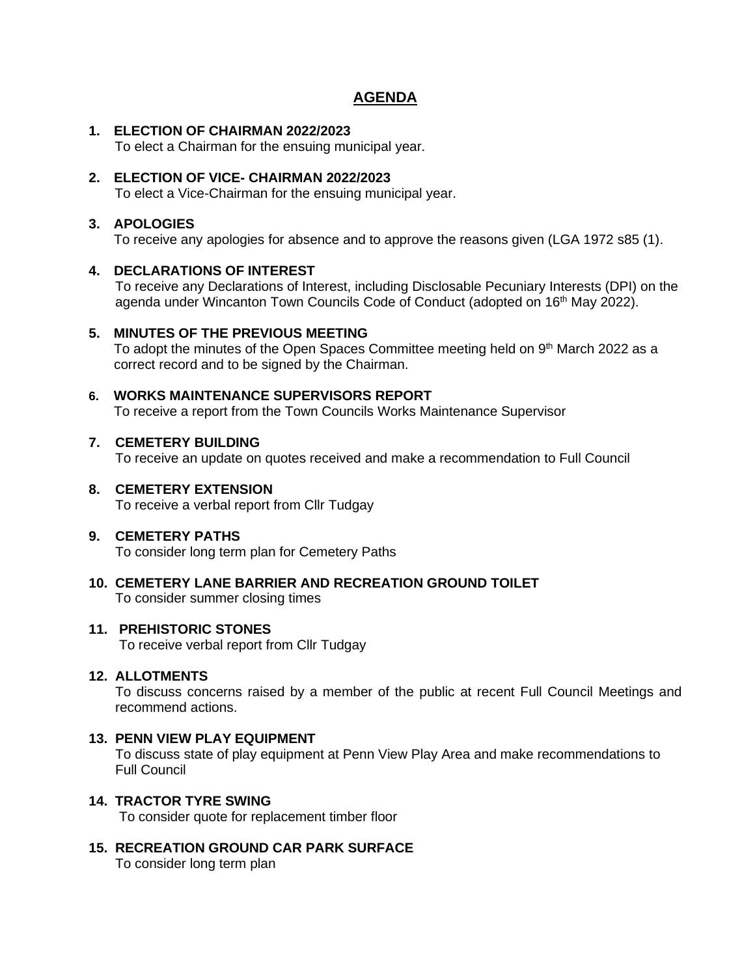# **AGENDA**

#### **1. ELECTION OF CHAIRMAN 2022/2023**

To elect a Chairman for the ensuing municipal year.

## **2. ELECTION OF VICE- CHAIRMAN 2022/2023**

To elect a Vice-Chairman for the ensuing municipal year.

## **3. APOLOGIES**

To receive any apologies for absence and to approve the reasons given (LGA 1972 s85 (1).

#### **4. DECLARATIONS OF INTEREST**

 To receive any Declarations of Interest, including Disclosable Pecuniary Interests (DPI) on the agenda under Wincanton Town Councils Code of Conduct (adopted on 16<sup>th</sup> May 2022).

# **5. MINUTES OF THE PREVIOUS MEETING**

To adopt the minutes of the Open Spaces Committee meeting held on 9<sup>th</sup> March 2022 as a correct record and to be signed by the Chairman.

## **6. WORKS MAINTENANCE SUPERVISORS REPORT**

To receive a report from the Town Councils Works Maintenance Supervisor

#### **7. CEMETERY BUILDING**

To receive an update on quotes received and make a recommendation to Full Council

# **8. CEMETERY EXTENSION**

To receive a verbal report from Cllr Tudgay

# **9. CEMETERY PATHS**

To consider long term plan for Cemetery Paths

**10. CEMETERY LANE BARRIER AND RECREATION GROUND TOILET** To consider summer closing times

#### **11. PREHISTORIC STONES**

To receive verbal report from Cllr Tudgay

#### **12. ALLOTMENTS**

To discuss concerns raised by a member of the public at recent Full Council Meetings and recommend actions.

# **13. PENN VIEW PLAY EQUIPMENT**

To discuss state of play equipment at Penn View Play Area and make recommendations to Full Council

#### **14. TRACTOR TYRE SWING**

To consider quote for replacement timber floor

# **15. RECREATION GROUND CAR PARK SURFACE**

To consider long term plan